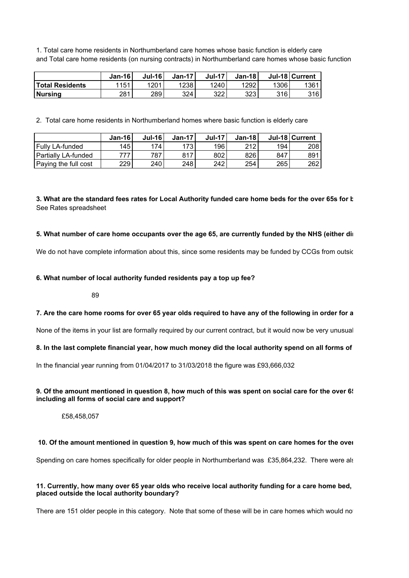1. Total care home residents in Northumberland care homes whose basic function is elderly care and Total care home residents (on nursing contracts) in Northumberland care homes whose basic function

|                        | $Jan-16$ | <b>Jul-16</b> | $Jan-17'$ | <b>Jul-17</b> | Jan-18 |      | Jul-18 Current |
|------------------------|----------|---------------|-----------|---------------|--------|------|----------------|
| <b>Total Residents</b> | 1151     | 1201          | 1238      | 1240          | 1292   | 1306 | 1361           |
| <b>Nursing</b>         | 281      | 289           | 324       | 322           | 323    | 316  | 316 I          |

2. Total care home residents in Northumberland homes where basic function is elderly care

|                       | $Jan-16'$ | Jul-16 | $Jan-17$ | $Jul-17$ | $Jan-18$ |     | Jul-18 Current |
|-----------------------|-----------|--------|----------|----------|----------|-----|----------------|
| l Fullv LA-funded     | 145       | 74.    | 173      | 196      | 212      | 194 | 208 l          |
| l Partiallv LA-funded | 777       | 787    | 817      | 802      | 826      | 847 | 891            |
| Paying the full cost  | 229       | 240    | 248      | 242      | 254      | 265 | 2621           |

# 3. What are the standard fees rates for Local Authority funded care home beds for the over 65s for **k** See Rates spreadsheet

## 5. What number of care home occupants over the age 65, are currently funded by the NHS (either directly

We do not have complete information about this, since some residents may be funded by CCGs from outside our area, but the number of number of number of number of number of number of  $\mu$ 

#### **6. What number of local authority funded residents pay a top up fee?**

#### 89

### **7. Are the care home rooms for over 65 year olds required to have any of the following in order for a**

None of the items in your list are formally required by our current contract, but it would now be very unusual

#### 8. In the last complete financial year, how much money did the local authority spend on all forms of

In the financial year running from 01/04/2017 to 31/03/2018 the figure was £93,666,032

#### **9. Of the amount mentioned in question 8, how much of this was spent on social care for the over 65s, including all forms of social care and support?**

£58,458,057

#### **10. Of the amount mentioned in question 9, how much of this was spent on care homes for the over**

Spending on care homes specifically for older people in Northumberland was £35,864,232. There were also supported in Northumberland was £35,864,232.

### **11. Currently, how many over 65 year olds who receive local authority funding for a care home bed, are placed outside the local authority boundary?**

There are 151 older people in this category. Note that some of these will be in care homes which would no